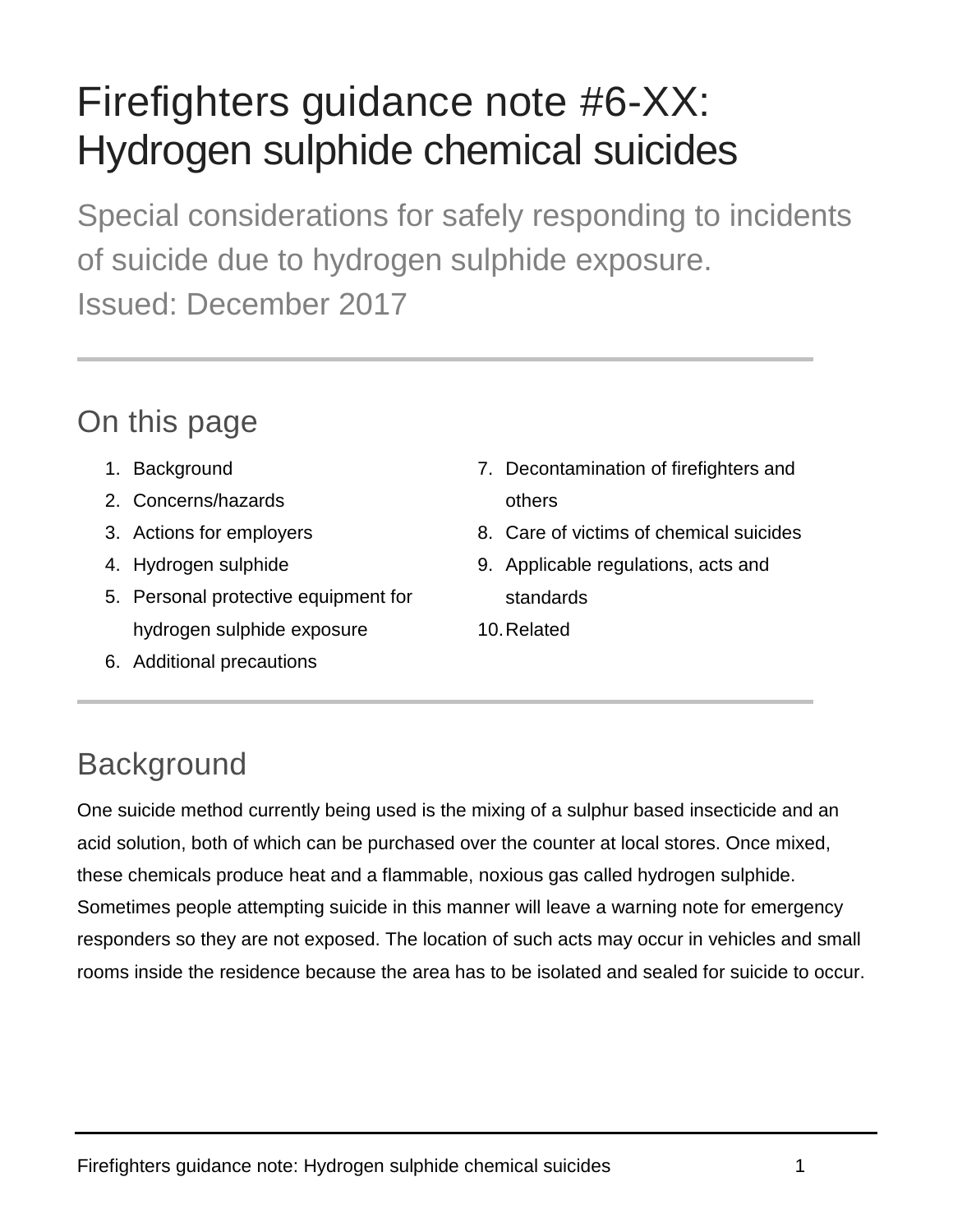# Firefighters guidance note #6-XX: Hydrogen sulphide chemical suicides

Special considerations for safely responding to incidents of suicide due to hydrogen sulphide exposure. Issued: December 2017

### On this page

- 1. Background
- 2. Concerns/hazards
- 3. Actions for employers
- 4. Hydrogen sulphide
- 5. Personal protective equipment for hydrogen sulphide exposure
- 6. Additional precautions
- 7. Decontamination of firefighters and others
- 8. Care of victims of chemical suicides
- 9. Applicable regulations, acts and standards
- 10.Related

# **Background**

One suicide method currently being used is the mixing of a sulphur based insecticide and an acid solution, both of which can be purchased over the counter at local stores. Once mixed, these chemicals produce heat and a flammable, noxious gas called hydrogen sulphide. Sometimes people attempting suicide in this manner will leave a warning note for emergency responders so they are not exposed. The location of such acts may occur in vehicles and small rooms inside the residence because the area has to be isolated and sealed for suicide to occur.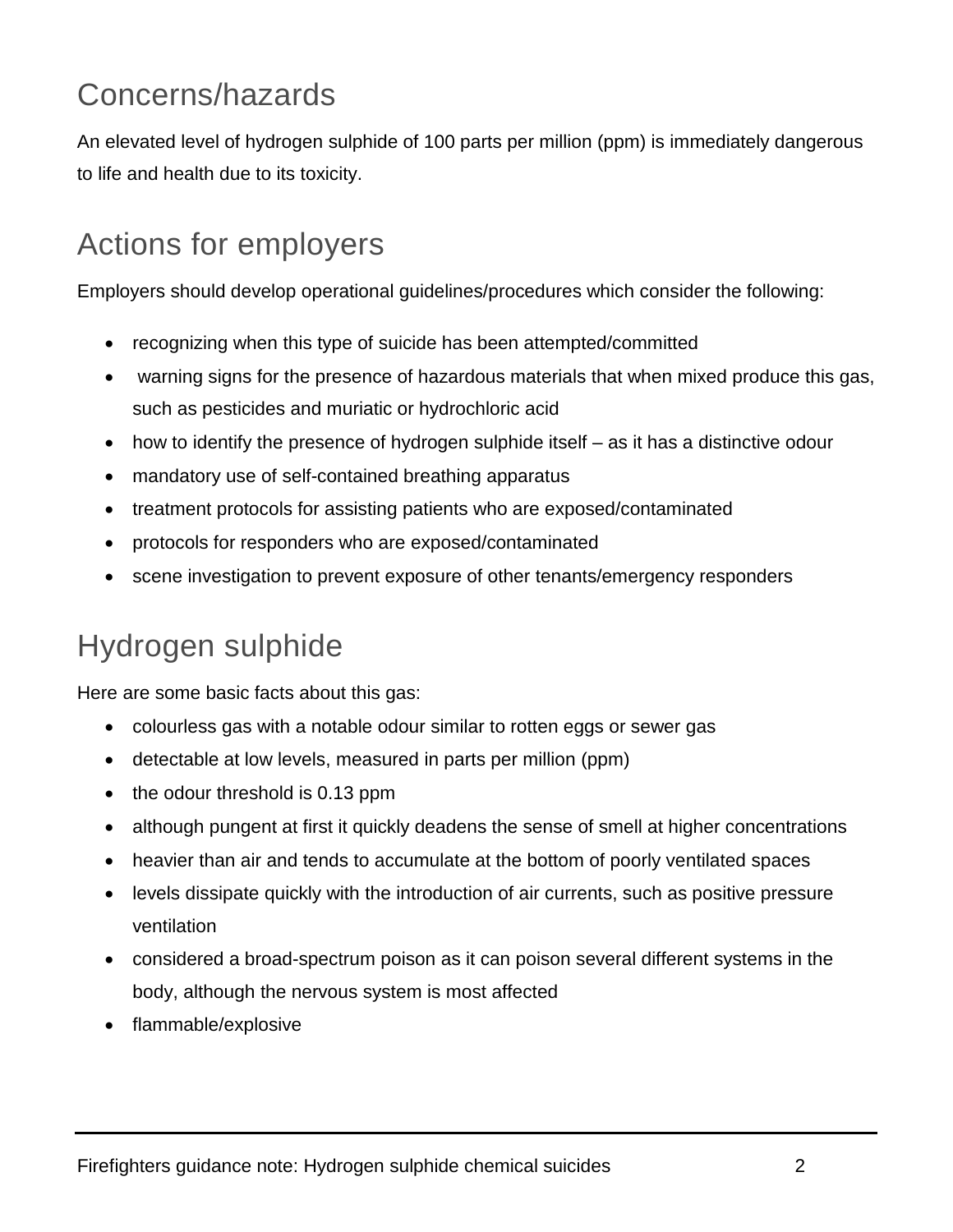# Concerns/hazards

An elevated level of hydrogen sulphide of 100 parts per million (ppm) is immediately dangerous to life and health due to its toxicity.

# Actions for employers

Employers should develop operational guidelines/procedures which consider the following:

- recognizing when this type of suicide has been attempted/committed
- warning signs for the presence of hazardous materials that when mixed produce this gas, such as pesticides and muriatic or hydrochloric acid
- how to identify the presence of hydrogen sulphide itself as it has a distinctive odour
- mandatory use of self-contained breathing apparatus
- treatment protocols for assisting patients who are exposed/contaminated
- protocols for responders who are exposed/contaminated
- scene investigation to prevent exposure of other tenants/emergency responders

# Hydrogen sulphide

Here are some basic facts about this gas:

- colourless gas with a notable odour similar to rotten eggs or sewer gas
- detectable at low levels, measured in parts per million (ppm)
- the odour threshold is 0.13 ppm
- although pungent at first it quickly deadens the sense of smell at higher concentrations
- heavier than air and tends to accumulate at the bottom of poorly ventilated spaces
- levels dissipate quickly with the introduction of air currents, such as positive pressure ventilation
- considered a broad-spectrum poison as it can poison several different systems in the body, although the nervous system is most affected
- flammable/explosive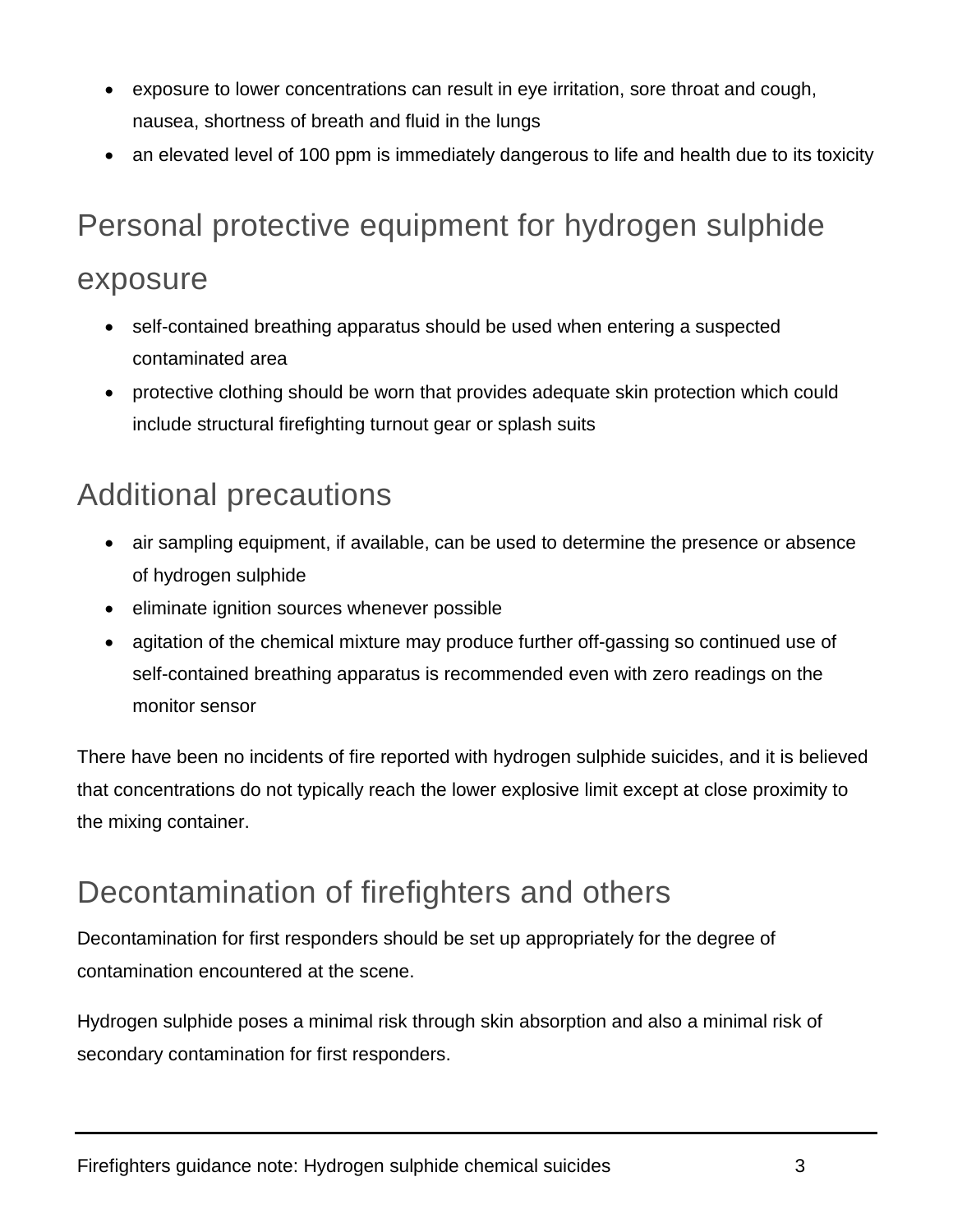- exposure to lower concentrations can result in eye irritation, sore throat and cough, nausea, shortness of breath and fluid in the lungs
- an elevated level of 100 ppm is immediately dangerous to life and health due to its toxicity

# Personal protective equipment for hydrogen sulphide

#### exposure

- self-contained breathing apparatus should be used when entering a suspected contaminated area
- protective clothing should be worn that provides adequate skin protection which could include structural firefighting turnout gear or splash suits

### Additional precautions

- air sampling equipment, if available, can be used to determine the presence or absence of hydrogen sulphide
- eliminate ignition sources whenever possible
- agitation of the chemical mixture may produce further off-gassing so continued use of self-contained breathing apparatus is recommended even with zero readings on the monitor sensor

There have been no incidents of fire reported with hydrogen sulphide suicides, and it is believed that concentrations do not typically reach the lower explosive limit except at close proximity to the mixing container.

### Decontamination of firefighters and others

Decontamination for first responders should be set up appropriately for the degree of contamination encountered at the scene.

Hydrogen sulphide poses a minimal risk through skin absorption and also a minimal risk of secondary contamination for first responders.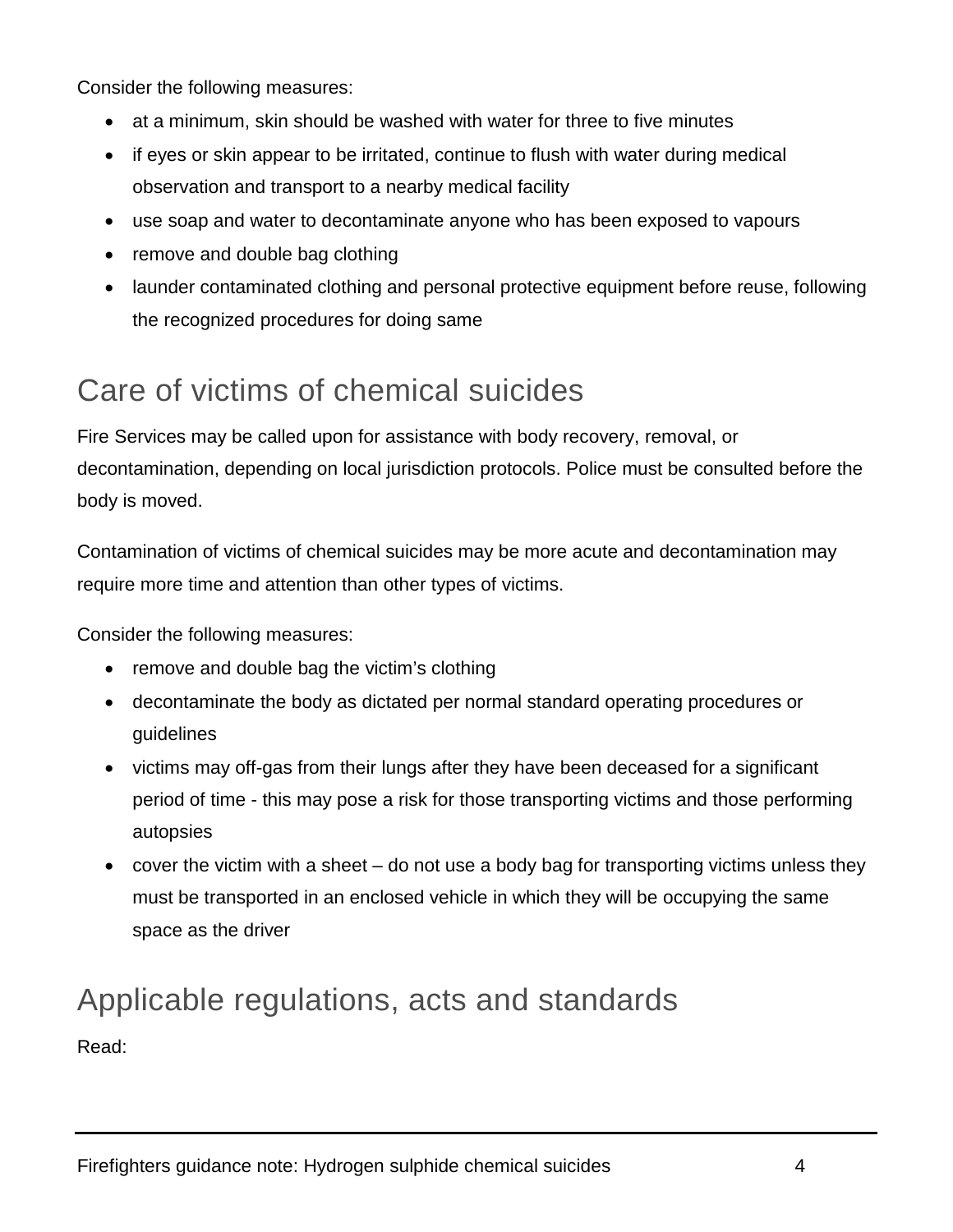Consider the following measures:

- at a minimum, skin should be washed with water for three to five minutes
- if eyes or skin appear to be irritated, continue to flush with water during medical observation and transport to a nearby medical facility
- use soap and water to decontaminate anyone who has been exposed to vapours
- remove and double bag clothing
- launder contaminated clothing and personal protective equipment before reuse, following the recognized procedures for doing same

## Care of victims of chemical suicides

Fire Services may be called upon for assistance with body recovery, removal, or decontamination, depending on local jurisdiction protocols. Police must be consulted before the body is moved.

Contamination of victims of chemical suicides may be more acute and decontamination may require more time and attention than other types of victims.

Consider the following measures:

- remove and double bag the victim's clothing
- decontaminate the body as dictated per normal standard operating procedures or guidelines
- victims may off-gas from their lungs after they have been deceased for a significant period of time - this may pose a risk for those transporting victims and those performing autopsies
- cover the victim with a sheet do not use a body bag for transporting victims unless they must be transported in an enclosed vehicle in which they will be occupying the same space as the driver

### Applicable regulations, acts and standards Read: